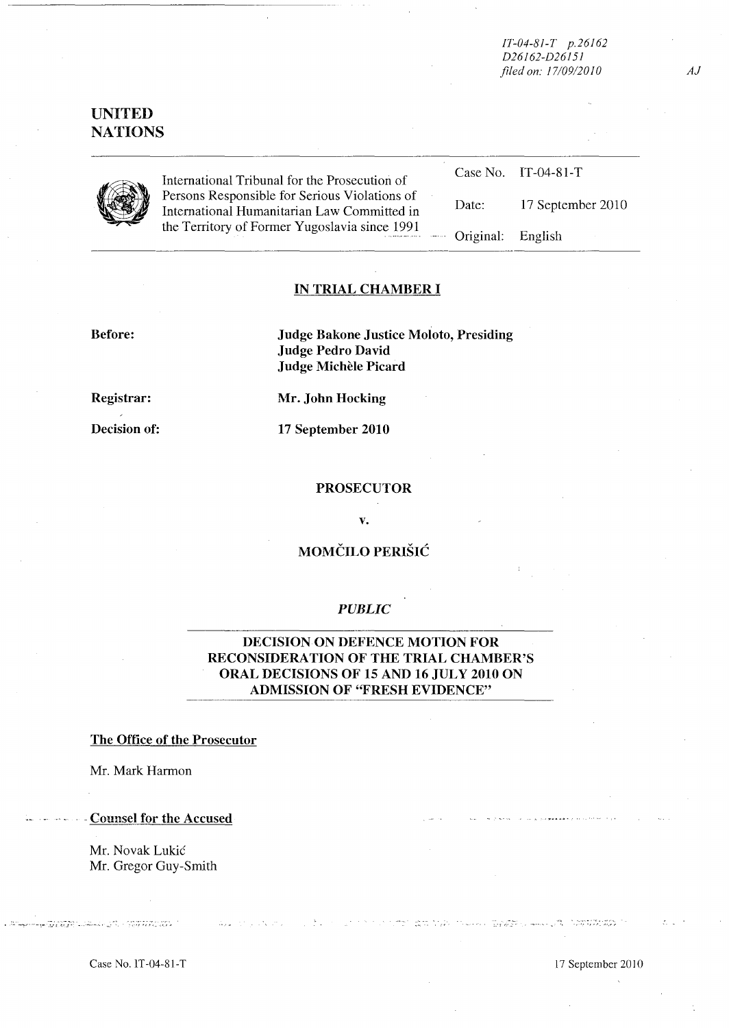*IT-04-8J-T p.26J62 D26J62-D26J5J filed on: /7109120JO* 

# **UNITED NATIONS**



International Tribunal for the Prosecution of Persons Responsible for Serious Violations of International Humanitarian Law Committed in the Territory of Forrner Yugoslavia since 1991

| $IT - 04 - 81 - T$<br>Case No. |
|--------------------------------|
|--------------------------------|

Date: 17 September 2010

Original: English

### **IN TRIAL CHAMBER I**

**Before: Judge Bakone Justice Moloto, Presiding Judge Pedro David Judge MicheIe Picard** 

**Registrar:** 

**Decision of:** 

**Mr. John Hocking** 

**17 September 2010** 

#### **PROSECUTOR**

**v.** 

# **MOMCILO PERISH:**

## *PUBLIC*

DECISION ON **DEFENCE MOTION FOR RECONSIDERA TION OF THE TRIAL CHAMBER'S ORAL DECISIONS OF 15 AND 16 JULY 2010 ON ADMISSION OF ''FRESH EVIDENCE"** 

### **The Office of the Prosecutor**

Mr. Mark Harrnon

. -Counsel **for the Accused** 

Mr. Novak Lukic Mr. Gregor Guy-Smith

Case No.lT-04-SI-T 17 September 2010

**HORIZE COMMUNICATIONS** 

المحصور المعرفية الأدارية المعربين المستهدي المتواطن المتابع المتحدية.<br>الواقع المعروف ومرد المنابع المتابع يتسهد إلى المعاشر ودوان المتعاقبية.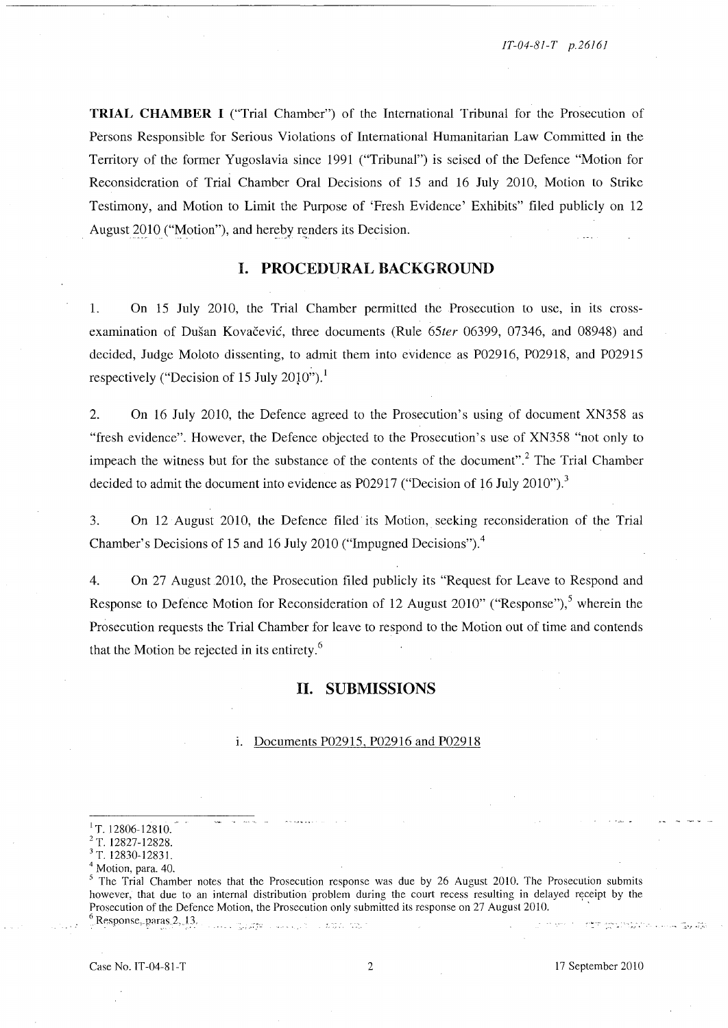**TRIAL CHAMBER I** ("Trial Chamber") of the International Tribunal for the Prosecution of Persons Responsible for Serious Violations of International Humanitarian Law Committed in the Territory of the former Yugoslavia since 1991 ("Tribunal") is seised of the Defence "Motion for Reconsideration of Trial Chamber Oral Decisions of 15 and 16 July 20lO, Motion to Strike Testimony, and Motion to Limit the Purpose of 'Fresh Evidence' Exhibits" filed publicly on 12 August 2010 ("Motion"), and hereby renders its Decision.

## **I. PROCEDURAL BACKGROUND**

1. On 15 July 2010, the Trial Chamber permitted the Prosecution to use, in its crossexamination of Dusan Kovacevic, three documents (Rule *65ter* 06399, 07346, and 08948) and decided, Judge Moloto dissenting, to admit them into evidence as P02916, P02918, and P02915 respectively ("Decision of 15 July 2010").<sup>1</sup>

2. On 16 July 20lO, the Defence agreed to the Prosecution's using of document XN358 as "fresh evidence". However, the Defence objected to the Prosecution's use of XN358 "not only to impeach the witness but for the substance of the contents of the document".<sup>2</sup> The Trial Chamber decided to admit the document into evidence as P02917 ("Decision of 16 July 2010").<sup>3</sup>

3. On 12 August 20lO, the Defence filed its Motion, seeking reconsideration of the Trial Chamber's Decisions of 15 and 16 July 2010 ("Impugned Decisions"). $4$ 

4. On 27 August 2010, the Prosecution filed publicly its "Request for Leave to Respond and Response to Defence Motion for Reconsideration of 12 August 2010" ("Response"),<sup>5</sup> wherein the Prosecution requests the Trial Chamber for leave to respond to the Motion out of time and contends that the Motion be rejected in its entirety. 6

#### **H. SUBMISSIONS**

#### 1. Documents P02915, P02916 and P029 18

<sup>5</sup> The Trial Chamber notes that the Prosecution response was due by 26 August 2010. The Prosecution submits however, that due to an internal distribution problem during the court recess resulting in delayed receipt by the Prosecution of the Defence Motion, the Prosecution only submitted its response on 27 August 2010. '  $^6$  Response, paras 2, 13.

 $1$ T. 12806-12810.

<sup>2</sup> T. 12827-12828.

<sup>3</sup> T. 12830-12831.

Motion, para. 40.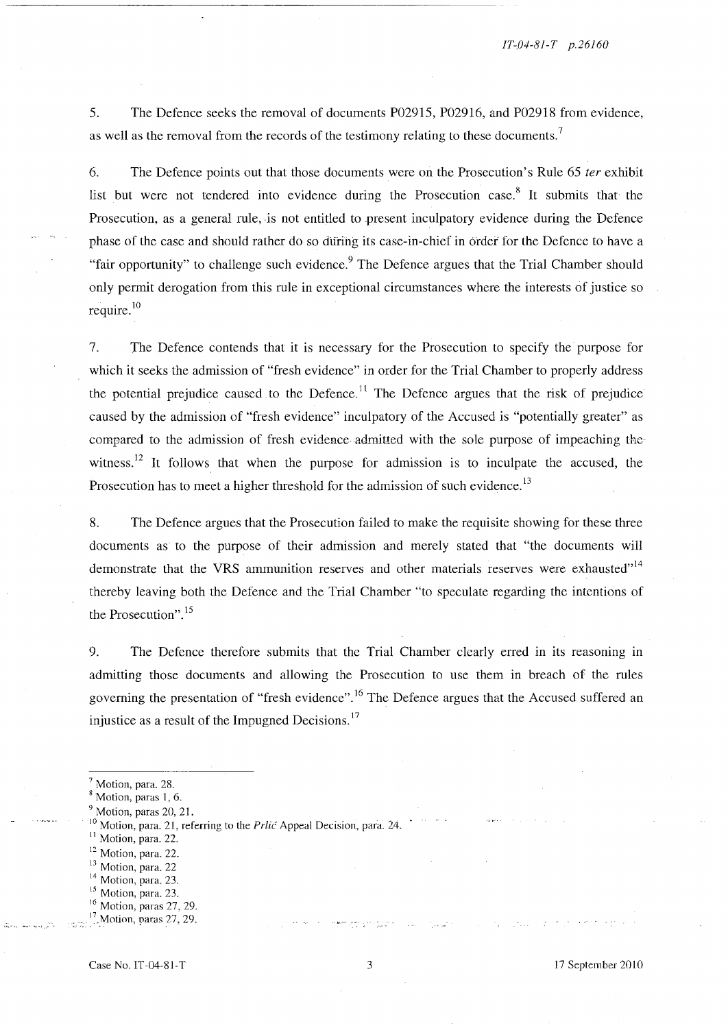5. The Defence seeks the removal of documents P02915, P02916, and P02918 from evidence, as well as the removal from the records of the testimony relating to these documents.

6. The Defence points out that those documents were on the Prosecution's Rule 65 *ter* exhibit list but were not tendered into evidence during the Prosecution case.<sup>8</sup> It submits that the Prosecution, as a general rule, is not entitled to present inculpatory evidence during the Defence phase of the case and should rather do so during its case-in-chief in order for the Defence to have a "fair opportunity" to challenge such evidence.<sup>9</sup> The Defence argues that the Trial Chamber should only permit derogation from this rule in exceptional circumstances where the interests of justice so require.<sup>10</sup>

7. The Defence contends that it is necessary for the Prosecution to specify the purpose for which it seeks the admission of "fresh evidence" in order for the Trial Chamber to properly address the potential prejudice caused to the Defence.<sup>11</sup> The Defence argues that the risk of prejudice caused by the admission of "fresh evidence" inculpatory of the Accused is "potentially greater" as compared to the admission of fresh evidence admitted with the sole purpose of impeaching the witness.<sup>12</sup> It follows that when the purpose for admission is to inculpate the accused, the Prosecution has to meet a higher threshold for the admission of such evidence.<sup>13</sup>

8. The Defence argues that the Prosecution failed to make the requisite showing for these three documents as to the purpose of their admission and merely stated that "the documents will demonstrate that the VRS ammunition reserves and other materials reserves were exhausted"<sup>14</sup> thereby leaving both the Defence and the Trial Chamber "to speculate regarding the intentions of the Prosecution". 15

9. The Defence therefore submits that the Trial Chamber clearly erred in its reasoning in admitting those documents and allowing the Prosecution to use them in breach of the rules governing the presentation of "fresh evidence".<sup>16</sup> The Defence argues that the Accused suffered an injustice as a result of the Impugned Decisions.<sup>17</sup>

- <sup>11</sup> Motion, para. 22.
- <sup>12</sup> Motion, para. 22.
- <sup>13</sup> Motion, para. 22
- <sup>14</sup> Motion, para. 23.
- <sup>15</sup> Motion, para. 23.

Motion, para. 28.

Motion, paras 1, 6.

Motion, paras 20, 21.

 $10$  Motion, para. 21, referring to the *Prlic* Appeal Decision, para. 24.

<sup>&</sup>lt;sup>16</sup> Motion, paras 27, 29.

 $17$  Motion, paras 27, 29.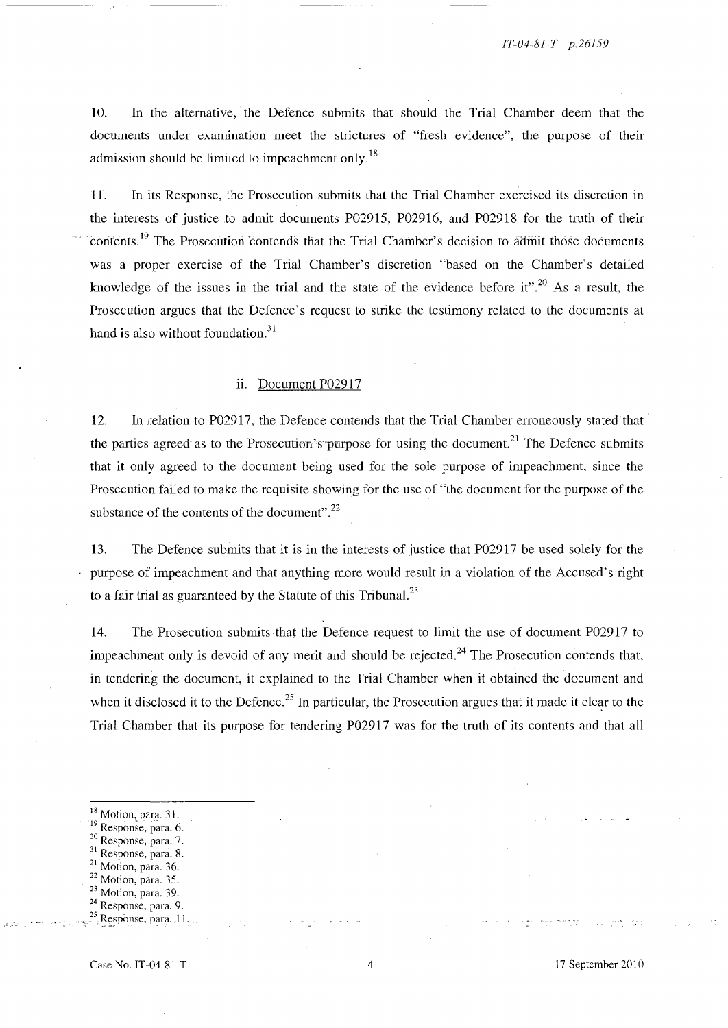10. In the alternative, the Defence submits that should the Trial Chamber deem that the documents under examination meet the strictures of "fresh evidence", the purpose of their admission should be limited to impeachment only.<sup>18</sup>

11. In its Response, the Prosecution submits that the Trial Chamber exercised its discretion in the interests of justice to admit documents P02915, P02916, and P02918 for the truth of their contents.<sup>19</sup> The Prosecution contends that the Trial Chamber's decision to admit those documents was a proper exercise of the Trial Chamber's discretion "based on the Chamber's detailed knowledge of the issues in the trial and the state of the evidence before it".<sup>20</sup> As a result, the Prosecution argues that the Defence's request to strike the testimony related to the documents at hand is also without foundation. $31$ 

### ii. Document P02917

12. In relation to P02917, the Defence contends that the Trial Chamber erroneously stated that the parties agreed as to the Prosecution's purpose for using the document.<sup>21</sup> The Defence submits that it only agreed to the document being used for the sole purpose of impeachment, since the Prosecution failed to make the requisite showing for the use of "the document for the purpose of the substance of the contents of the document". $^{22}$ 

13. The Defence submits that it is in the interests of justice that P02917 be used solely for the purpose of impeachment and that anything more would result in a violation of the Accused's right to a fair trial as guaranteed by the Statute of this Tribunal. $^{23}$ 

14. The Prosecution submits that the Defence request to limit the use of document P02917 to impeachment only is devoid of any merit and should be rejected.<sup>24</sup> The Prosecution contends that, in tendering the document, it explained to the Trial Chamber when it obtained the document and when it disclosed it to the Defence.<sup>25</sup> In particular, the Prosecution argues that it made it clear to the Trial Chamber that its purpose for tendering P02917 was for the truth of its contents and that all

- $18$  Motion, para. 31.
- <sup>19</sup> Response, para. 6.
- <sup>20</sup> Response, para. 7.
- 31 Response, para. 8.
- <sup>21</sup> Motion, para. 36.
- $22$  Motion, para. 35.
- <sup>23</sup> Motion, para. 39.
- $24$  Response, para. 9.
- $R$ esponse, para. 11.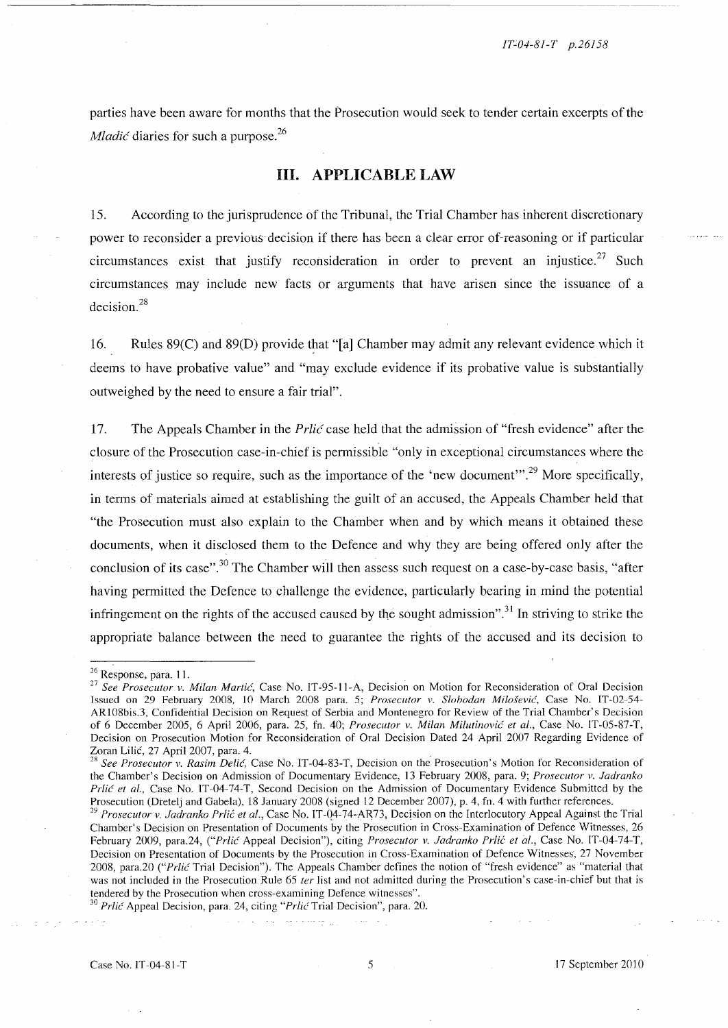parties have been aware for months that the Prosecution would seek to tender certain excerpts of the *Mladić* diaries for such a purpose.<sup>26</sup>

## **Ill. APPLICABLE LAW**

15. According to the jurisprudence of the Tribunal, the Trial Chamber has inherent discretionary power to reconsider a previous decision if there has been a clear error of reasoning or if particular circumstances exist that justify reconsideration in order to prevent an injustice.<sup>27</sup> Such circumstances may include new facts or arguments that have arisen since the issuance of a decision.<sup>28</sup>

16. Rules 89(C) and 89(D) provide that "[a] Chamber may admit any relevant evidence which it deems to have probative value" and "may exclude evidence if its probative value is substantially outweighed by the need to ensure a fair trial".

17. The Appeals Chamber in the *Prlic* case held that the admission of "fresh evidence" after the closure of the Prosecution case-in-chief is permissible "only in exceptional circumstances where the interests of justice so require, such as the importance of the 'new document'".<sup>29</sup> More specifically, in terms of materials aimed at establishing the guilt of an accused, the Appeals Chamber held that "the Prosecution must also explain to the Chamber when and by which means it obtained these documents, when it disclosed them to the Defence and why they are being offered only after the conclusion of its case".<sup>30</sup> The Chamber will then assess such request on a case-by-case basis, "after having permitted the Defence to challenge the evidence, particularly bearing in mind the potential infringement on the rights of the accused caused by the sought admission".<sup>31</sup> In striving to strike the appropriate balance between the need to guarantee the rights of the accused and its decision to

 $^{26}$  Response, para. 11.  $\blacksquare$ 

<sup>&</sup>lt;sup>27</sup> See Prosecutor v. Milan Martic, Case No. IT-95-11-A, Decision on Motion for Reconsideration of Oral Decision Issued on 29 February 2008, 10 March 2008 para. 5; *Prosecutor v. Slohodan Milosevic,* Case No. IT-02-54- ARI08bis.3, Confidential Decision on Request of Serbia and Montenegro for Review of the Trial Chamber's Decision of 6 December 2005, 6 April 2006, para. 25, fn. 40; *Prosecutor v. Milan Miiulinol'ic et al.,* Case No. IT-05-S7-T, Decision on Prosecution Motion for Reconsideration of Oral Decision Dated 24 April 2007 Regarding Evidence of Zoran Lilic, 27 April 2007, para. 4.

<sup>28</sup>*See Prosecutor v. Rasim Delic,* Case No. IT-04-S3-T, Decision on the Prosecution's Motion for Reconsideration of the Chamber's Decision on Admission of Documentary Evidence, 13 February 200S, para. 9; *Prosecutor v . .Tadranko Prlic et al.,* Case No. IT-04-74-T, Second Decision on the Admission of Documentary Evidence Submitted by the Prosecution (Dretelj and Gabela), 18 January 2008 (signed 12 December 2007), p. 4, fn. 4 with further references.

<sup>&</sup>lt;sup>29</sup> Prosecutor v. Jadranko Prlić et al., Case No. IT-04-74-AR73, Decision on the Interlocutory Appeal Against the Trial Chamber's Decision on Presentation of Documents by the Prosecution in Cross-Examination of Defence Witnesses, 26 February 2009, para. 24, <sup>*("Prlić Appeal Decision")*, citing *Prosecutor v. Jadranko Prlić et al.*, Case No. IT-04-74-T,</sup> Decision on Presentation of Documents by the Prosecution in Cross-Examination of Defence Witnesses, 27 November 200S, para.20 *("Prlic* Trial Decision"). The Appeals Chamber defines the notion of "fresh evidence" as "material that was not included in the Prosecution Rule 65 *ter* list and not admitted during the Prosecution's case-in-chief but that is tendered by the Prosecution when cross-examining Defence witnesses".

*<sup>30</sup> Prlic* Appeal Decision, para. 24, citing *"Pr/ic* Trial Decision", para. 20.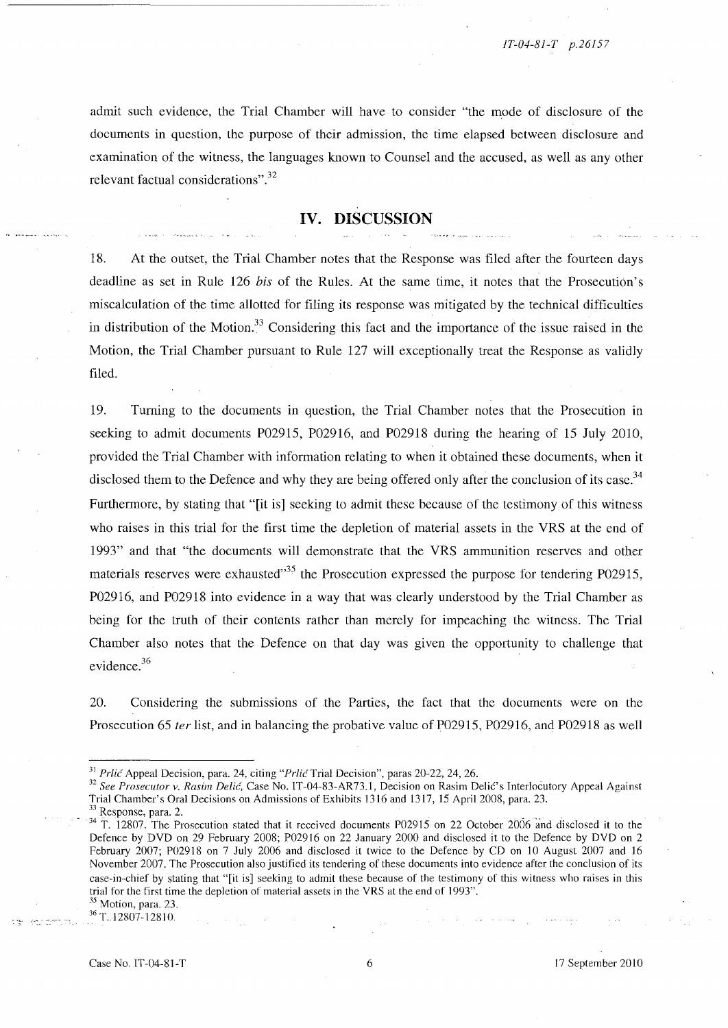admit such evidence, the Trial Chamber will have to consider "the mode of disclosure of the documents in question, the purpose of their admission, the time elapsed between disclosure and examination of the witness, the languages known to Counsel and the accused, as well as any other relevant factual considerations".<sup>32</sup>

### **IV. DISCUSSION**

18. At the outset, the Trial Chamber notes that the Response was filed after the fourteen days deadline as set in Rule 126 *his* of the Rules. At the same time, it notes that the Prosecution's miscalculation of the time allotted for filing its response was mitigated by the technical difficulties in distribution of the Motion.<sup>33</sup> Considering this fact and the importance of the issue raised in the Motion, the Trial Chamber pursuant to Rule 127 will exceptionally treat the Response as validly filed.

19. Turning to the documents in question, the Trial Chamber notes that the Prosecution in seeking to admit documents P02915, P02916, and P02918 during the hearing of 15 July 2010, provided the Trial Chamber with information relating to when it obtained these documents, when it disclosed them to the Defence and why they are being offered only after the conclusion of its case.<sup>34</sup> Furthermore, by stating that "[it is] seeking to admit these because of the testimony of this witness who raises in this trial for the first time the depletion of material assets in the VRS at the end of 1993" and that "the documents will demonstrate that the VRS ammunition reserves and other materials reserves were exhausted<sup> $,35$ </sup> the Prosecution expressed the purpose for tendering P02915, P02916, and P02918 into evidence in a way that was clearly understood by the Trial Chamber as being for the truth of their contents rather than merely for impeaching the witness. The Trial Chamber also notes that the Defence on that day was given the opportunity to challenge that evidence.<sup>36</sup>

20. Considering the submissions of .the Parties, the fact that the documents were on the Prosecution 65 *ter* list, and in balancing the probative value of P02915, P02916, and P02918 as well

<sup>33</sup> Response, para. 2.

 $36$  T. 12807-12810.

<sup>31</sup>*Prlic* Appeal Decision, para. 24, citing *"PrlicTrial* Decision", paras 20-22, 24, 26.

*<sup>32</sup> See Prosecutor v. Rasim Delic,* Case No. IT-04-S3-AR73.1, Decision on Rasim Delic's Interlocutory Appeal Against Trial Chamber's Oral Decisions on Admissions of Exhibits 1316 and 1317, 15 April 200S, para. 23.

<sup>&</sup>lt;sup>34</sup> T. 12807. The Prosecution stated that it received documents P02915 on 22 October 2006 and disclosed it to the Defence by DVD on 29 February 200S; P02916 on 22 January 2000 and disclosed it to the Defence by DVD on 2 February 2007; P0291S on 7 July 2006 and disclosed it twice to the Defence by CD on 10 August 2007 and 16 November 2007. The Prosecution also justified its tendering of these documents into evidence after the conclusion of its case-in-chief by stating that "[it is] seeking to admit these because of the testimony of this witness who raises in this trial for the first time the depletion of material assets in the VRS at the end of 1993". 35 Motion, para. 23.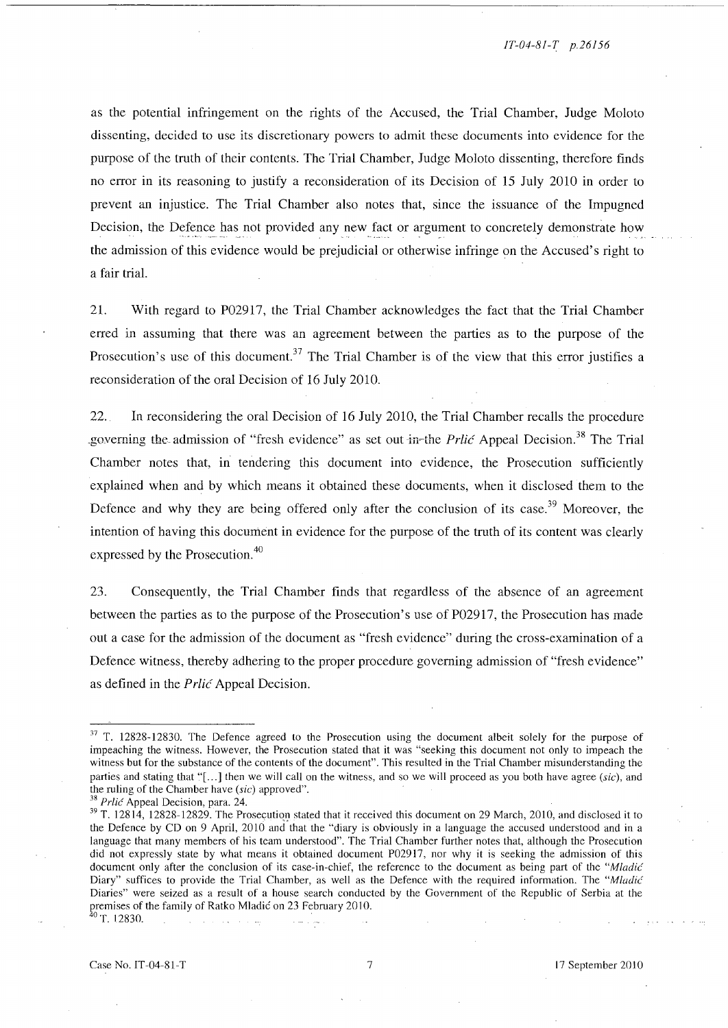*IT-04-8/-T p.26156* 

as the potential infringement on the rights of the Accused, the Trial Chamber, Judge Moloto dissenting, decided to use its discretionary powers to admit these documents into evidence for the purpose of the truth of their contents. The Trial Chamber, Judge Moloto dissenting, therefore finds no error in its reasoning to justify a reconsideration of its Decision of 15 July 2010 in order to prevent an injustice. The Trial Chamber also notes that, since the issuance of the Impugned Decision, the Defence has not provided any new fact or argument to concretely demonstrate how the admission of this evidence would be prejudicial or otherwise infringe on the Accused's right to a fair trial.

21. With regard to P02917, the Trial Chamber acknowledges the fact that the Trial Chamber erred in assuming that there was an agreement between the parties as to the purpose of the Prosecution's use of this document.<sup>37</sup> The Trial Chamber is of the view that this error justifies a reconsideration of the oral Decision of 16 July 2010.

22. In reconsidering the oral Decision of 16 July 2010, the Trial Chamber recalls the procedure governing the admission of "fresh evidence" as set out in-the *Prlic Appeal Decision*.<sup>38</sup> The Trial Chamber notes that, in tendering this document into evidence, the Prosecution sufficiently explained when and by which means it obtained these documents, when it disclosed them to the Defence and why they are being offered only after the conclusion of its case.<sup>39</sup> Moreover, the intention of having this document in evidence for the purpose of the truth of its content was clearly expressed by the Prosecution.<sup>40</sup>

23. Consequently, the Trial Chamber finds that regardless of the absence of an agreement between the parties as to the purpose of the Prosecution's use of P02917, the Prosecution has made out a case for the admission of the document as "fresh evidence" during the cross-examination of a Defence witness, thereby adhering to the proper procedure governing admission of "fresh evidence" as defined in the Prlic Appeal Decision.

<sup>&</sup>lt;sup>37</sup> T. 12828-12830. The Defence agreed to the Prosecution using the document albeit solely for the purpose of impeaching the witness. However, the Prosecution stated that it was "seeking this document not only to impeach the witness but for the substance of the contents of the document". This resulted in the Trial Chamber misunderstanding the parties and stating that "[...] then we will call on the witness, and so we will proceed as you both have agree (sic), and the ruling of the Chamber have (sic) approved".

<sup>&</sup>lt;sup>38</sup> Prlic Appeal Decision, para. 24.

 $39$  T. 12814, 12828-12829. The Prosecution stated that it received this document on 29 March, 2010, and disclosed it to the Defence by CD on 9 April, 2010 and that the "diary is obviously in a language the accused understood and in a language that many members of his team understood". The Trial Chamber further notes that, although the Prosecution did not expressly state by what means it obtained document P02917, nor why it is seeking the admission of this document only after the conclusion of its case-in-chief, the reference to the document as being part of the "Mladic" Diary" suffices to provide the Trial Chamber, as well as the Defence with the required information. The "Mladić Diaries" were seized as a result of a house search conducted by the Government of the Republic of Serbia at the premises of the family of Ratko Mladić on 23 February 2010. Diaries<sup>3</sup> were seized as a result of a house search conduct<br>premises of the family of Ratko Mladić on 23 February 2010.<br> ${}^{0}$  T. 12830.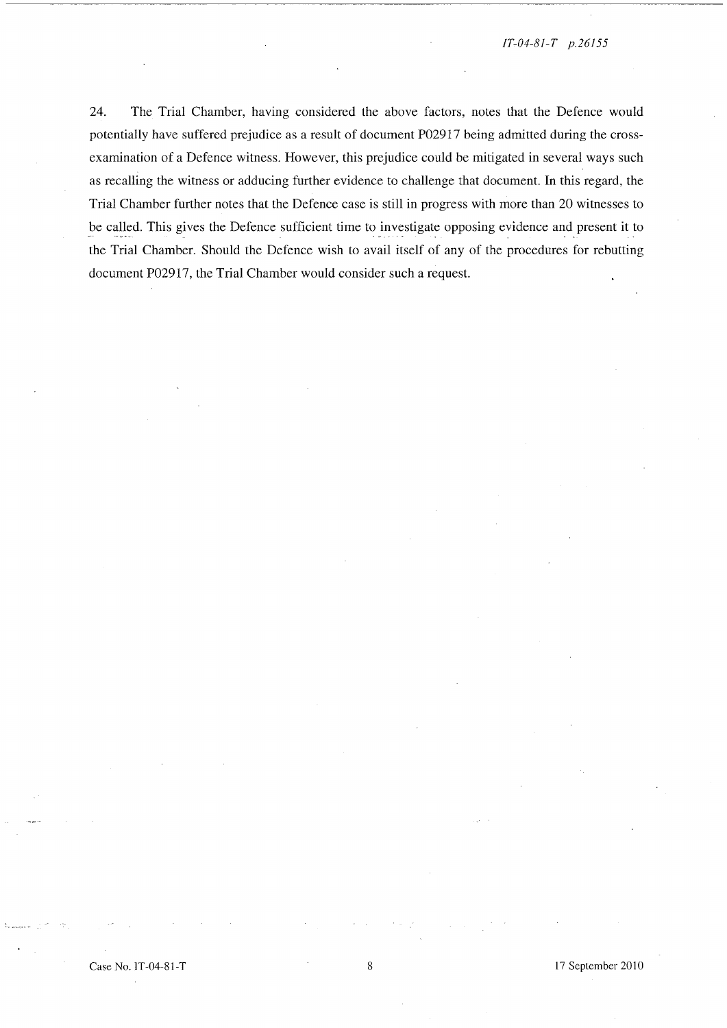24. The Trial Chamber, having considered the above factors, notes that the Defence would potentially have suffered prejudice as a result of document P02917 being admitted during the crossexamination of a Defence witness. However, this prejudice could be mitigated in several ways such as recalling the witness or adducing further evidence to challenge that document. **In** this regard, the Trial Chamber further notes that the Defence case is still in progress with more than 20 witnesses to be called. This gives the Defence sufficient time to investigate opposing evidence and present it to the Trial Chamber. Should the Defence wish to avail itself of any of the procedures for rebutting document P02917, the Trial Chamber would consider such a request.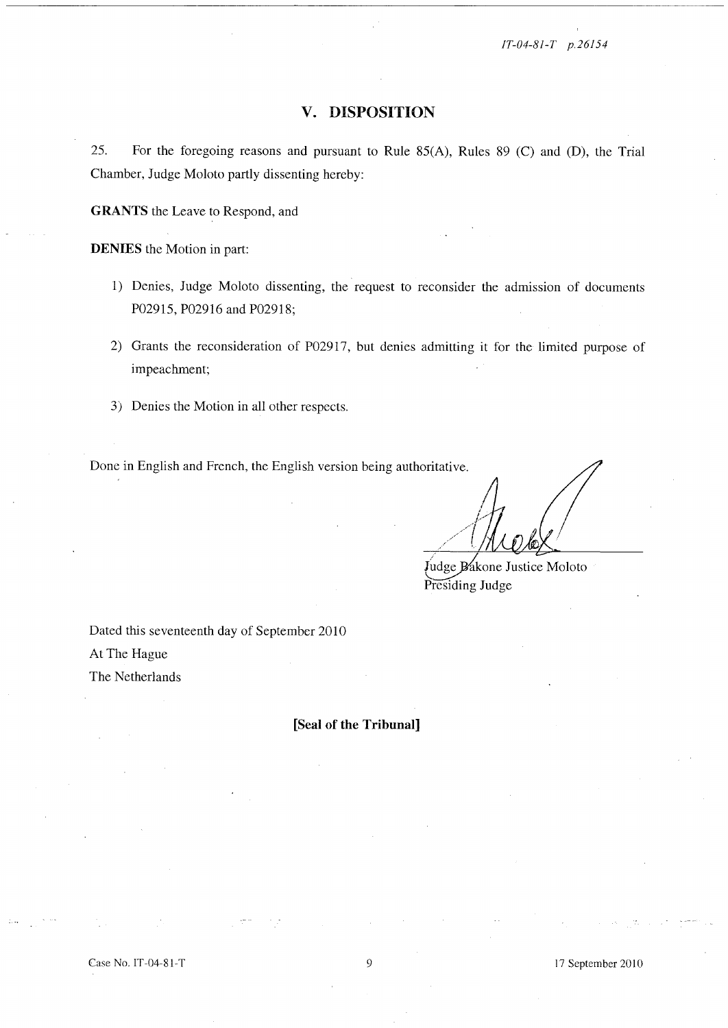*IT-04-81-T p.26154* 

## **v. DISPOSITION**

25. For the foregoing reasons and pursuant to Rule 85(A), Rules 89 (C) and (D), the Trial Chamber, Judge Moloto partly dissenting hereby:

**GRANTS** the Leave to Respond, and

**DENIES** the Motion in part:

- 1) Denies, Judge Moloto dissenting, the request to reconsider the admission of documents P02915, P02916 and P02918;
- 2) Grants the reconsideration of P02917, but denies admitting it for the limited purpose of impeachment;
- 3) Denies the Motion in all other respects.

Done in English and French, the English version being authoritative.

Judge Bakone Justice Moloto Presiding Judge

Dated this seventeenth day of September 2010 At The Hague The Netherlands

**[Seal of the Tribunal]** 

17 September 2010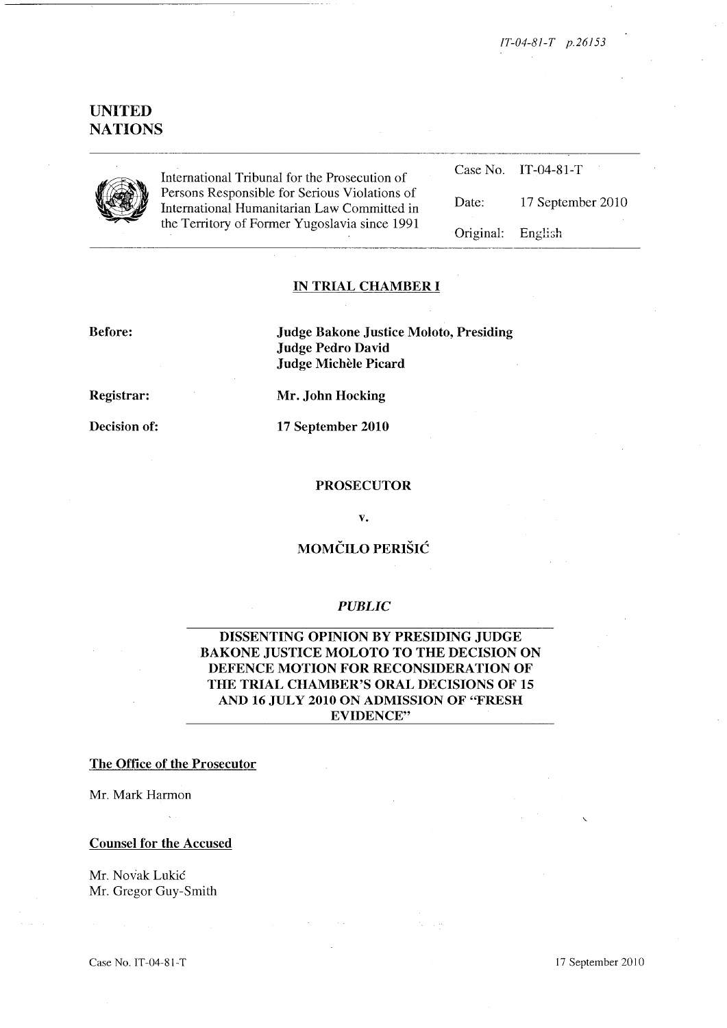*IT-04-81-T p.26153* 

# **UNITED NATIONS**



International Tribunal for the Prosecution of Persons Responsible for Serious Violations of International Humanitarian Law Committed in the Territory of Former Yugoslavia since 1991

|                   | Case No. IT-04-81-T |
|-------------------|---------------------|
| Date:             | 17 September 2010   |
| Original: English |                     |

## **IN TRIAL CHAMBER I**

**Before:** 

**Judge Bakone Justice Moloto, Presiding Judge Pedro David Judge Michele Picard** 

**Registrar:** 

**Decision of:** 

**Mr. John Hocking** 

**17 September 2010** 

#### **PROSECUTOR**

**v.** 

# **MOMCILO PERISIC**

## *PUBLIC*

**DISSENTING OPINION BY PRESIDING JUDGE BAKONE JUSTICE MOLOTO TO THE DECISION ON DEFENCE MOTION FOR RECONSIDERATION OF THE TRIAL CHAMBER'S ORAL DECISIONS OF 15 AND 16 JULY 2010 ON ADMISSION OF "FRESH EVIDENCE"** 

## **The Office of the Prosecutor**

Mr. Mark Harmon

#### **Counsel for the Accused**

Mr. Novak Lukic Mr. Gregor Guy-Smith

Case No. IT-04-81-T 17 September 2010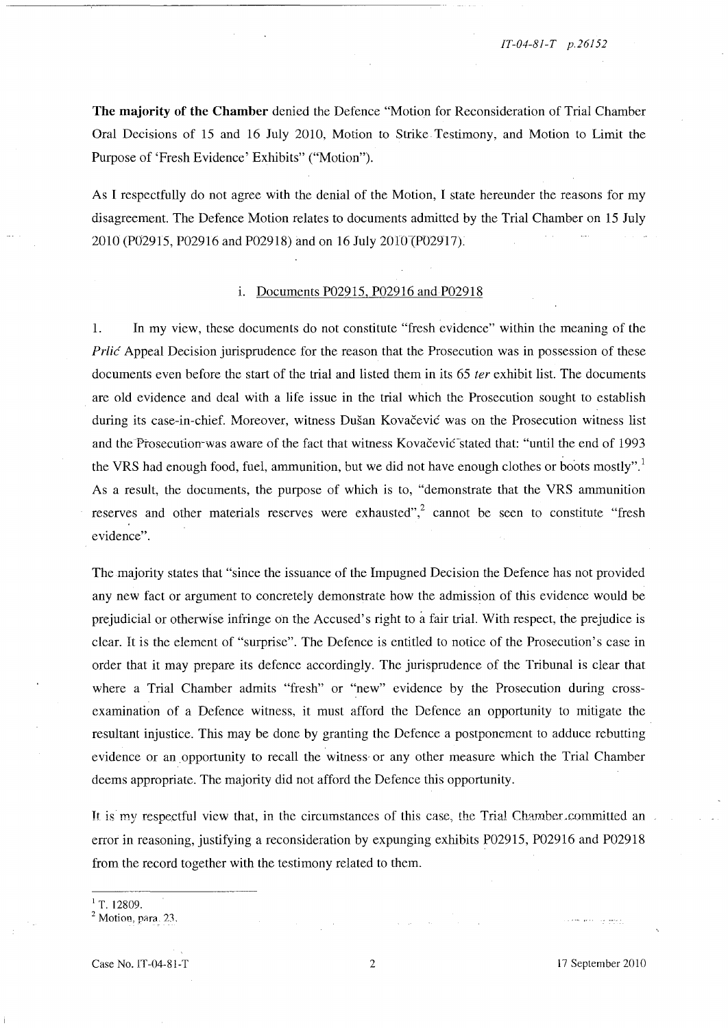**The majority of the Chamber** denied the Defence "Motion for Reconsideration of Trial Chamber Oral Decisions of 15 and 16 July 2010, Motion to Strike Testimony, and Motion to Limit the Purpose of 'Fresh Evidence' Exhibits" ("Motion").

As I respectfully do not agree with the denial of the Motion, I state hereunder the reasons for my disagreement. The Defence Motion relates to documents admitted by the Trial Chamber on 15 July 2010 (P02915, P02916 and P02918) and on 16 July 2010 (P02917).

#### i. Documents P02915, P02916 and P02918

1. In my view, these documents do not constitute "fresh evidence" within the meaning of the Prlic Appeal Decision jurisprudence for the reason that the Prosecution was in possession of these documents even before the start of the trial and listed them in its 65 *ter* exhibit list. The documents are old evidence and deal with a life issue in the trial which the Prosecution sought to establish during its case-in-chief. Moreover, witness Dušan Kovačević was on the Prosecution witness list and the Prosecution-was aware of the fact that witness Kovacevic<sup>-</sup>stated that: "until the end of 1993 the VRS had enough food, fuel, ammunition, but we did not have enough clothes or boots mostly". As a result, the documents, the purpose of which is to, "demonstrate that the VRS ammunition reserves and other materials reserves were exhausted",<sup>2</sup> cannot be seen to constitute "fresh" evidence".

The majority states that "since the issuance of the Impugned Decision the Defence has not provided any new fact or argument to concretely demonstrate how the admission of this evidence would be prejudicial or otherwise infringe on the Accused's right to a fair trial. With respect, the prejudice is clear. It is the element of "surprise". The Defence is entitled to notice of the Prosecution's case in order that it may prepare its defence accordingly. The jurisprudence of the Tribunal is clear that where a Trial Chamber admits "fresh" or "new" evidence by the Prosecution during crossexamination of a Defence witness, it must afford the Defence an opportunity to mitigate the resultant injustice. This may be done by granting the Defence a postponement to adduce rebutting evidence or an opportunity to recall the witness· or any other measure which the Trial Chamber deems appropriate. The majority did not afford the Defence this opportunity.

It is my respectful view that, in the circumstances of this case, the Trial Chamber committed an error in reasoning, justifying a reconsideration by expunging exhibits P02915, P02916 and P02918 from the record together with the testimony related to them.

 $1$ T. 12809.

 $<sup>2</sup>$  Motion, para. 23.</sup>